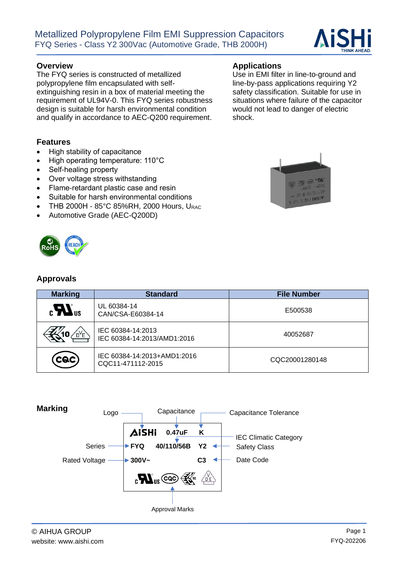### **Overview Applications**

The FYQ series is constructed of metallized polypropylene film encapsulated with selfextinguishing resin in a box of material meeting the requirement of UL94V-0. This FYQ series robustness design is suitable for harsh environmental condition and qualify in accordance to AEC-Q200 requirement.

### **Features**

- High stability of capacitance
- High operating temperature: 110°C
- Self-healing property
- Over voltage stress withstanding
- Flame-retardant plastic case and resin
- Suitable for harsh environmental conditions
- THB 2000H  $85^{\circ}$ C 85%RH, 2000 Hours, URAC
- Automotive Grade (AEC-Q200D)

### **Approvals**

| <b>Marking</b>        | <b>Standard</b>                                  | <b>File Number</b> |
|-----------------------|--------------------------------------------------|--------------------|
| $_{c}H$ <sub>us</sub> | UL 60384-14<br>CAN/CSA-E60384-14                 | E500538            |
| PY5                   | IEC 60384-14:2013<br>IEC 60384-14:2013/AMD1:2016 | 40052687           |
| $\mathsf{(ccc)}$      | IEC 60384-14:2013+AMD1:2016<br>CQC11-471112-2015 | CQC20001280148     |





Use in EMI filter in line-to-ground and line-by-pass applications requiring Y2 safety classification. Suitable for use in situations where failure of the capacitor would not lead to danger of electric

shock.

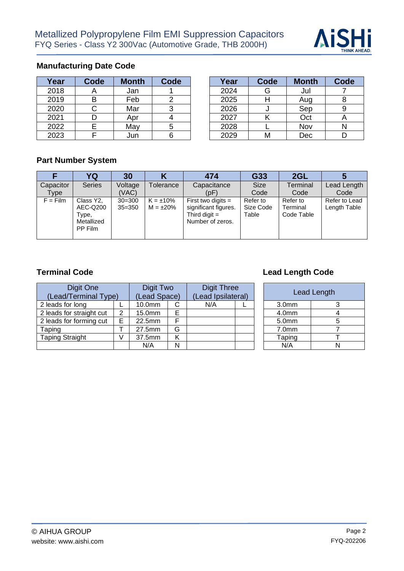

### **Manufacturing Date Code**

| Year | <b>Code</b> | <b>Month</b> | Code | Year | Code | <b>Month</b> | Code |
|------|-------------|--------------|------|------|------|--------------|------|
| 2018 |             | Jan          |      | 2024 | G    | Jul          |      |
| 2019 |             | Feb          |      | 2025 |      | Aug          |      |
| 2020 |             | Mar          |      | 2026 |      | Sep          |      |
| 2021 |             | Apr          |      | 2027 |      | Oct          |      |
| 2022 |             | May          |      | 2028 |      | Nov          |      |
| 2023 |             | Jun          |      | 2029 | м    | <b>Dec</b>   |      |

| Year | Code | <b>Month</b> | Code | Year | Code | <b>Month</b> | Code |
|------|------|--------------|------|------|------|--------------|------|
| 2018 |      | Jan          |      | 2024 | G    | Jul          |      |
| 2019 | в    | Feb          |      | 2025 |      | Aug          |      |
| 2020 |      | Mar          |      | 2026 |      | Sep          |      |
| 2021 |      | Apr          |      | 2027 |      | Oct          |      |
| 2022 |      | May          |      | 2028 |      | Nov          |      |
| 2023 |      | Jun          |      | 2029 | М    | Dec          |      |

### **Part Number System**

|            | ΥQ                                                      | 30                       | Κ                                | 474                                                                                 | G33                            | 2GL                                |                               |
|------------|---------------------------------------------------------|--------------------------|----------------------------------|-------------------------------------------------------------------------------------|--------------------------------|------------------------------------|-------------------------------|
| Capacitor  | <b>Series</b>                                           | Voltage                  | Tolerance                        | Capacitance                                                                         | <b>Size</b>                    | Terminal                           | Lead Length                   |
| Type       |                                                         | (VAC)                    |                                  | (pF)                                                                                | Code                           | Code                               | Code                          |
| $F = Film$ | Class Y2,<br>AEC-Q200<br>Type,<br>Metallized<br>PP Film | $30 = 300$<br>$35 = 350$ | $K = \pm 10\%$<br>$M = \pm 20\%$ | First two digits $=$<br>significant figures.<br>Third digit $=$<br>Number of zeros. | Refer to<br>Size Code<br>Table | Refer to<br>Terminal<br>Code Table | Refer to Lead<br>Length Table |

| Digit One<br>(Lead/Terminal Type) |   | Digit Two<br>(Lead Space) |   |     | <b>Digit Three</b><br>(Lead Ipsilateral) |  |                   | Lead Length |
|-----------------------------------|---|---------------------------|---|-----|------------------------------------------|--|-------------------|-------------|
| 2 leads for long                  |   | 10.0mm                    | C | N/A |                                          |  | 3.0 <sub>mm</sub> | 3           |
| 2 leads for straight cut          | ⌒ | 15.0mm                    | Е |     |                                          |  | 4.0mm             | 4           |
| 2 leads for forming cut           |   | 22.5mm                    | Е |     |                                          |  | 5.0 <sub>mm</sub> | 5           |
| Taping                            |   | 27.5mm                    | G |     |                                          |  | 7.0 <sub>mm</sub> |             |
| <b>Taping Straight</b>            |   | 37.5mm                    | Κ |     |                                          |  | Taping            |             |
|                                   |   | N/A                       | N |     |                                          |  | N/A               | N           |

## **Terminal Code Lead Length Code**

| <b>Digit Three</b><br>(Lead Ipsilateral) |  |                   | <b>Lead Length</b> |
|------------------------------------------|--|-------------------|--------------------|
| N/A                                      |  | 3.0 <sub>mm</sub> |                    |
|                                          |  | 4.0 <sub>mm</sub> |                    |
|                                          |  | 5.0mm             |                    |
|                                          |  | 7.0 <sub>mm</sub> |                    |
|                                          |  | Taping            |                    |
|                                          |  |                   |                    |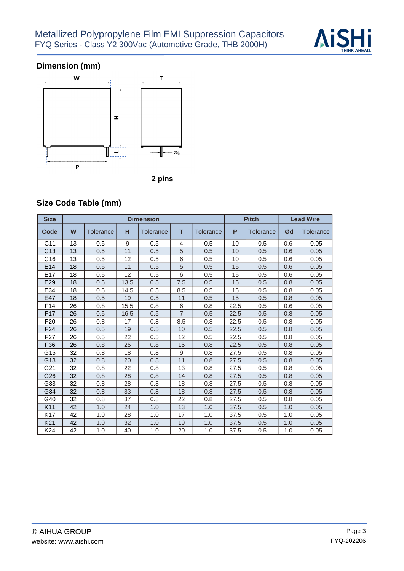

# **Dimension (mm)**



### **Size Code Table (mm)**

| <b>Size</b>     |    |           |      | <b>Dimension</b> |                |           | <b>Pitch</b> | <b>Lead Wire</b> |     |           |
|-----------------|----|-----------|------|------------------|----------------|-----------|--------------|------------------|-----|-----------|
| Code            | W  | Tolerance | н    | Tolerance        | т              | Tolerance | P            | Tolerance        | Ød  | Tolerance |
| C <sub>11</sub> | 13 | 0.5       | 9    | 0.5              | 4              | 0.5       | 10           | 0.5              | 0.6 | 0.05      |
| C <sub>13</sub> | 13 | 0.5       | 11   | 0.5              | 5              | 0.5       | 10           | 0.5              | 0.6 | 0.05      |
| C <sub>16</sub> | 13 | 0.5       | 12   | 0.5              | 6              | 0.5       | 10           | 0.5              | 0.6 | 0.05      |
| E <sub>14</sub> | 18 | 0.5       | 11   | 0.5              | 5              | 0.5       | 15           | 0.5              | 0.6 | 0.05      |
| E <sub>17</sub> | 18 | 0.5       | 12   | 0.5              | 6              | 0.5       | 15           | 0.5              | 0.6 | 0.05      |
| E29             | 18 | 0.5       | 13.5 | 0.5              | 7.5            | 0.5       | 15           | 0.5              | 0.8 | 0.05      |
| E34             | 18 | 0.5       | 14.5 | 0.5              | 8.5            | 0.5       | 15           | 0.5              | 0.8 | 0.05      |
| E47             | 18 | 0.5       | 19   | 0.5              | 11             | 0.5       | 15           | 0.5              | 0.8 | 0.05      |
| F14             | 26 | 0.8       | 15.5 | 0.8              | 6              | 0.8       | 22.5         | 0.5              | 0.6 | 0.05      |
| F <sub>17</sub> | 26 | 0.5       | 16.5 | 0.5              | $\overline{7}$ | 0.5       | 22.5         | 0.5              | 0.8 | 0.05      |
| F <sub>20</sub> | 26 | 0.8       | 17   | 0.8              | 8.5            | 0.8       | 22.5         | 0.5              | 0.8 | 0.05      |
| F <sub>24</sub> | 26 | 0.5       | 19   | 0.5              | 10             | 0.5       | 22.5         | 0.5              | 0.8 | 0.05      |
| F <sub>27</sub> | 26 | 0.5       | 22   | 0.5              | 12             | 0.5       | 22.5         | 0.5              | 0.8 | 0.05      |
| F36             | 26 | 0.8       | 25   | 0.8              | 15             | 0.8       | 22.5         | 0.5              | 0.8 | 0.05      |
| G15             | 32 | 0.8       | 18   | 0.8              | 9              | 0.8       | 27.5         | 0.5              | 0.8 | 0.05      |
| G18             | 32 | 0.8       | 20   | 0.8              | 11             | 0.8       | 27.5         | 0.5              | 0.8 | 0.05      |
| G21             | 32 | 0.8       | 22   | 0.8              | 13             | 0.8       | 27.5         | 0.5              | 0.8 | 0.05      |
| G26             | 32 | 0.8       | 28   | 0.8              | 14             | 0.8       | 27.5         | 0.5              | 0.8 | 0.05      |
| G33             | 32 | 0.8       | 28   | 0.8              | 18             | 0.8       | 27.5         | 0.5              | 0.8 | 0.05      |
| G34             | 32 | 0.8       | 33   | 0.8              | 18             | 0.8       | 27.5         | 0.5              | 0.8 | 0.05      |
| G40             | 32 | 0.8       | 37   | 0.8              | 22             | 0.8       | 27.5         | 0.5              | 0.8 | 0.05      |
| K11             | 42 | 1.0       | 24   | 1.0              | 13             | 1.0       | 37.5         | 0.5              | 1.0 | 0.05      |
| K <sub>17</sub> | 42 | 1.0       | 28   | 1.0              | 17             | 1.0       | 37.5         | 0.5              | 1.0 | 0.05      |
| K <sub>21</sub> | 42 | 1.0       | 32   | 1.0              | 19             | 1.0       | 37.5         | 0.5              | 1.0 | 0.05      |
| K <sub>24</sub> | 42 | 1.0       | 40   | 1.0              | 20             | 1.0       | 37.5         | 0.5              | 1.0 | 0.05      |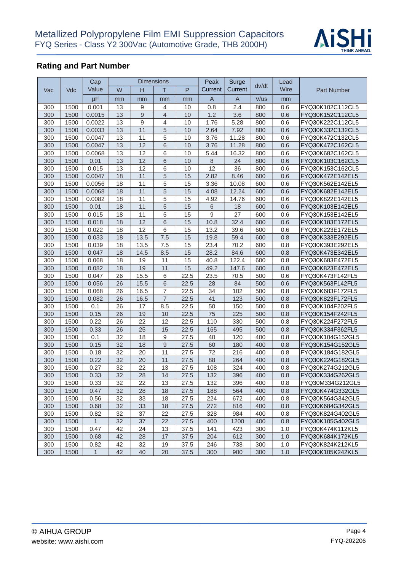

# **Rating and Part Number**

|     |      | Cap          |    |                  | <b>Dimensions</b> |      | Peak            | Surge       |       | Lead |                  |
|-----|------|--------------|----|------------------|-------------------|------|-----------------|-------------|-------|------|------------------|
| Vac | Vdc  | Value        | W  | H                | T                 | P    | Current         | Current     | dv/dt | Wire | Part Number      |
|     |      | μF           | mm | mm               | mm                | mm   | $\mathsf{A}$    | $\mathsf A$ | V/us  | mm   |                  |
| 300 | 1500 | 0.001        | 13 | 9                | 4                 | 10   | 0.8             | 2.4         | 800   | 0.6  | FYQ30K102C112CL5 |
| 300 | 1500 | 0.0015       | 13 | $\boldsymbol{9}$ | $\overline{4}$    | 10   | 1.2             | 3.6         | 800   | 0.6  | FYQ30K152C112CL5 |
| 300 | 1500 | 0.0022       | 13 | 9                | $\overline{4}$    | 10   | 1.76            | 5.28        | 800   | 0.6  | FYQ30K222C112CL5 |
| 300 | 1500 | 0.0033       | 13 | 11               | 5                 | 10   | 2.64            | 7.92        | 800   | 0.6  | FYQ30K332C132CL5 |
| 300 | 1500 | 0.0047       | 13 | 11               | 5                 | 10   | 3.76            | 11.28       | 800   | 0.6  | FYQ30K472C132CL5 |
| 300 | 1500 | 0.0047       | 13 | 12               | $\overline{6}$    | 10   | 3.76            | 11.28       | 800   | 0.6  | FYQ30K472C162CL5 |
| 300 | 1500 | 0.0068       | 13 | 12               | $\overline{6}$    | 10   | 5.44            | 16.32       | 800   | 0.6  | FYQ30K682C162CL5 |
| 300 | 1500 | 0.01         | 13 | $\overline{12}$  | 6                 | 10   | $\,8\,$         | 24          | 800   | 0.6  | FYQ30K103C162CL5 |
| 300 | 1500 | 0.015        | 13 | 12               | 6                 | 10   | $\overline{12}$ | 36          | 800   | 0.6  | FYQ30K153C162CL5 |
| 300 | 1500 | 0.0047       | 18 | 11               | 5                 | 15   | 2.82            | 8.46        | 600   | 0.6  | FYQ30K472E142EL5 |
| 300 | 1500 | 0.0056       | 18 | 11               | $\sqrt{5}$        | 15   | 3.36            | 10.08       | 600   | 0.6  | FYQ30K562E142EL5 |
| 300 | 1500 | 0.0068       | 18 | 11               | 5                 | 15   | 4.08            | 12.24       | 600   | 0.6  | FYQ30K682E142EL5 |
| 300 | 1500 | 0.0082       | 18 | 11               | 5                 | 15   | 4.92            | 14.76       | 600   | 0.6  | FYQ30K822E142EL5 |
| 300 | 1500 | 0.01         | 18 | 11               | $\overline{5}$    | 15   | 6               | 18          | 600   | 0.6  | FYQ30K103E142EL5 |
| 300 | 1500 | 0.015        | 18 | 11               | $\overline{5}$    | 15   | $\mathsf g$     | 27          | 600   | 0.6  | FYQ30K153E142EL5 |
| 300 | 1500 | 0.018        | 18 | 12               | $\overline{6}$    | 15   | 10.8            | 32.4        | 600   | 0.6  | FYQ30K183E172EL5 |
| 300 | 1500 | 0.022        | 18 | 12               | 6                 | 15   | 13.2            | 39.6        | 600   | 0.6  | FYQ30K223E172EL5 |
| 300 | 1500 | 0.033        | 18 | 13.5             | 7.5               | 15   | 19.8            | 59.4        | 600   | 0.8  | FYQ30K333E292EL5 |
| 300 | 1500 | 0.039        | 18 | 13.5             | 7.5               | 15   | 23.4            | 70.2        | 600   | 0.8  | FYQ30K393E292EL5 |
| 300 | 1500 | 0.047        | 18 | 14.5             | 8.5               | 15   | 28.2            | 84.6        | 600   | 0.8  | FYQ30K473E342EL5 |
| 300 | 1500 | 0.068        | 18 | 19               | 11                | 15   | 40.8            | 122.4       | 600   | 0.8  | FYQ30K683E472EL5 |
| 300 | 1500 | 0.082        | 18 | 19               | 11                | 15   | 49.2            | 147.6       | 600   | 0.8  | FYQ30K823E472EL5 |
| 300 | 1500 | 0.047        | 26 | 15.5             | 6                 | 22.5 | 23.5            | 70.5        | 500   | 0.6  | FYQ30K473F142FL5 |
| 300 | 1500 | 0.056        | 26 | 15.5             | $\overline{6}$    | 22.5 | 28              | 84          | 500   | 0.6  | FYQ30K563F142FL5 |
| 300 | 1500 | 0.068        | 26 | 16.5             | $\overline{7}$    | 22.5 | 34              | 102         | 500   | 0.8  | FYQ30K683F172FL5 |
| 300 | 1500 | 0.082        | 26 | 16.5             | $\overline{7}$    | 22.5 | 41              | 123         | 500   | 0.8  | FYQ30K823F172FL5 |
| 300 | 1500 | 0.1          | 26 | 17               | 8.5               | 22.5 | 50              | 150         | 500   | 0.8  | FYQ30K104F202FL5 |
| 300 | 1500 | 0.15         | 26 | 19               | 10                | 22.5 | 75              | 225         | 500   | 0.8  | FYQ30K154F242FL5 |
| 300 | 1500 | 0.22         | 26 | 22               | 12                | 22.5 | 110             | 330         | 500   | 0.8  | FYQ30K224F272FL5 |
| 300 | 1500 | 0.33         | 26 | 25               | 15                | 22.5 | 165             | 495         | 500   | 0.8  | FYQ30K334F362FL5 |
| 300 | 1500 | 0.1          | 32 | 18               | $\boldsymbol{9}$  | 27.5 | 40              | 120         | 400   | 0.8  | FYQ30K104G152GL5 |
| 300 | 1500 | 0.15         | 32 | 18               | $\mathsf g$       | 27.5 | 60              | 180         | 400   | 0.8  | FYQ30K154G152GL5 |
| 300 | 1500 | 0.18         | 32 | 20               | 11                | 27.5 | 72              | 216         | 400   | 0.8  | FYQ30K184G182GL5 |
| 300 | 1500 | 0.22         | 32 | 20               | 11                | 27.5 | 88              | 264         | 400   | 0.8  | FYQ30K224G182GL5 |
| 300 | 1500 | 0.27         | 32 | 22               | 13                | 27.5 | 108             | 324         | 400   | 0.8  | FYQ30K274G212GL5 |
| 300 | 1500 | 0.33         | 32 | 28               | 14                | 27.5 | 132             | 396         | 400   | 0.8  | FYQ30K334G262GL5 |
| 300 | 1500 | 0.33         | 32 | 22               | 13                | 27.5 | 132             | 396         | 400   | 0.8  | FYQ30M334G212GL5 |
| 300 | 1500 | 0.47         | 32 | 28               | 18                | 27.5 | 188             | 564         | 400   | 0.8  | FYQ30K474G332GL5 |
| 300 | 1500 | 0.56         | 32 | 33               | 18                | 27.5 | 224             | 672         | 400   | 0.8  | FYQ30K564G342GL5 |
| 300 | 1500 | 0.68         | 32 | 33               | 18                | 27.5 | 272             | 816         | 400   | 0.8  | FYQ30K684G342GL5 |
| 300 | 1500 | 0.82         | 32 | 37               | 22                | 27.5 | 328             | 984         | 400   | 0.8  | FYQ30K824G402GL5 |
| 300 | 1500 | $\mathbf{1}$ | 32 | 37               | 22                | 27.5 | 400             | 1200        | 400   | 0.8  | FYQ30K105G402GL5 |
| 300 | 1500 | 0.47         | 42 | 24               | 13                | 37.5 | 141             | 423         | 300   | 1.0  | FYQ30K474K112KL5 |
| 300 | 1500 | 0.68         | 42 | 28               | 17                | 37.5 | 204             | 612         | 300   | 1.0  | FYQ30K684K172KL5 |
| 300 | 1500 | 0.82         | 42 | 32               | 19                | 37.5 | 246             | 738         | 300   | 1.0  | FYQ30K824K212KL5 |
| 300 | 1500 | 1            | 42 | 40               | 20                | 37.5 | 300             | 900         | 300   | 1.0  | FYQ30K105K242KL5 |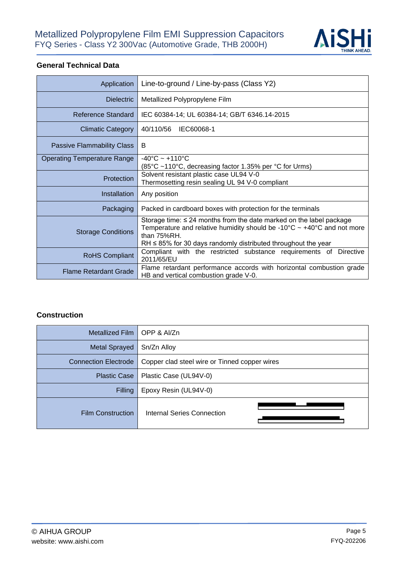

### **General Technical Data**

| Application                        | Line-to-ground / Line-by-pass (Class Y2)                                                                                                                                                                                                                     |
|------------------------------------|--------------------------------------------------------------------------------------------------------------------------------------------------------------------------------------------------------------------------------------------------------------|
| <b>Dielectric</b>                  | Metallized Polypropylene Film                                                                                                                                                                                                                                |
| Reference Standard                 | IEC 60384-14; UL 60384-14; GB/T 6346.14-2015                                                                                                                                                                                                                 |
| <b>Climatic Category</b>           | 40/110/56<br>IEC60068-1                                                                                                                                                                                                                                      |
| <b>Passive Flammability Class</b>  | B                                                                                                                                                                                                                                                            |
| <b>Operating Temperature Range</b> | $-40^{\circ}$ C ~ +110 $^{\circ}$ C<br>(85°C ~110°C, decreasing factor 1.35% per °C for Urms)                                                                                                                                                                |
| Protection                         | Solvent resistant plastic case UL94 V-0<br>Thermosetting resin sealing UL 94 V-0 compliant                                                                                                                                                                   |
| Installation                       | Any position                                                                                                                                                                                                                                                 |
| Packaging                          | Packed in cardboard boxes with protection for the terminals                                                                                                                                                                                                  |
| <b>Storage Conditions</b>          | Storage time: $\leq$ 24 months from the date marked on the label package<br>Temperature and relative humidity should be -10 $\degree$ C ~ +40 $\degree$ C and not more<br>than 75%RH.<br>$RH \leq 85\%$ for 30 days randomly distributed throughout the year |
| <b>RoHS Compliant</b>              | Compliant with the restricted substance requirements of<br><b>Directive</b><br>2011/65/EU                                                                                                                                                                    |
| <b>Flame Retardant Grade</b>       | Flame retardant performance accords with horizontal combustion grade<br>HB and vertical combustion grade V-0.                                                                                                                                                |

### **Construction**

| Metallized Film             | OPP & Al/Zn                                   |  |  |  |
|-----------------------------|-----------------------------------------------|--|--|--|
| <b>Metal Sprayed</b>        | Sn/Zn Alloy                                   |  |  |  |
| <b>Connection Electrode</b> | Copper clad steel wire or Tinned copper wires |  |  |  |
| <b>Plastic Case</b>         | Plastic Case (UL94V-0)                        |  |  |  |
| Filling                     | Epoxy Resin (UL94V-0)                         |  |  |  |
| <b>Film Construction</b>    | Internal Series Connection                    |  |  |  |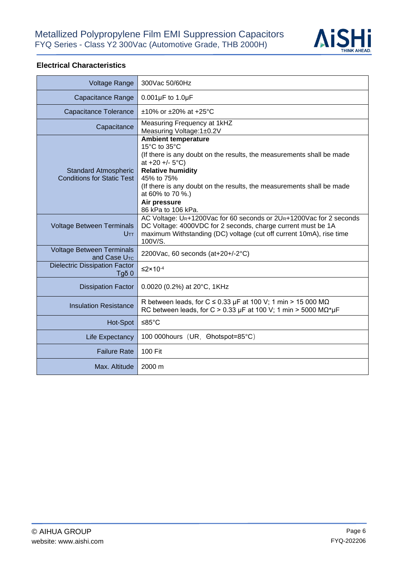

### **Electrical Characteristics**

| <b>Voltage Range</b>                                             | 300Vac 50/60Hz                                                                                                                                                                                                                                                                                                               |
|------------------------------------------------------------------|------------------------------------------------------------------------------------------------------------------------------------------------------------------------------------------------------------------------------------------------------------------------------------------------------------------------------|
| Capacitance Range                                                | $0.001\mu F$ to $1.0\mu F$                                                                                                                                                                                                                                                                                                   |
| Capacitance Tolerance                                            | ±10% or ±20% at +25°C                                                                                                                                                                                                                                                                                                        |
| Capacitance                                                      | Measuring Frequency at 1kHZ<br>Measuring Voltage:1±0.2V                                                                                                                                                                                                                                                                      |
| <b>Standard Atmospheric</b><br><b>Conditions for Static Test</b> | <b>Ambient temperature</b><br>15°C to 35°C<br>(If there is any doubt on the results, the measurements shall be made<br>at $+20 + (-5^{\circ}C)$<br><b>Relative humidity</b><br>45% to 75%<br>(If there is any doubt on the results, the measurements shall be made<br>at 60% to 70 %.)<br>Air pressure<br>86 kPa to 106 kPa. |
| <b>Voltage Between Terminals</b><br>$U$ <sub>TT</sub>            | AC Voltage: UR+1200Vac for 60 seconds or 2UR+1200Vac for 2 seconds<br>DC Voltage: 4000VDC for 2 seconds, charge current must be 1A<br>maximum Withstanding (DC) voltage (cut off current 10mA), rise time<br>100V/S.                                                                                                         |
| <b>Voltage Between Terminals</b><br>and Case U <sub>TC</sub>     | 2200Vac, 60 seconds (at+20+/-2°C)                                                                                                                                                                                                                                                                                            |
| <b>Dielectric Dissipation Factor</b><br>$Tg\delta$ 0             | $\leq$ 2×10 <sup>-4</sup>                                                                                                                                                                                                                                                                                                    |
| <b>Dissipation Factor</b>                                        | 0.0020 (0.2%) at 20°C, 1KHz                                                                                                                                                                                                                                                                                                  |
| <b>Insulation Resistance</b>                                     | R between leads, for C $\leq$ 0.33 µF at 100 V; 1 min > 15 000 M $\Omega$<br>RC between leads, for C > 0.33 µF at 100 V; 1 min > 5000 $M\Omega^*$ µF                                                                                                                                                                         |
| Hot-Spot                                                         | ≤85 $°C$                                                                                                                                                                                                                                                                                                                     |
| Life Expectancy                                                  | 100 000 hours (UR, Ohotspot=85°C)                                                                                                                                                                                                                                                                                            |
| <b>Failure Rate</b>                                              | 100 Fit                                                                                                                                                                                                                                                                                                                      |
| Max. Altitude                                                    | 2000 m                                                                                                                                                                                                                                                                                                                       |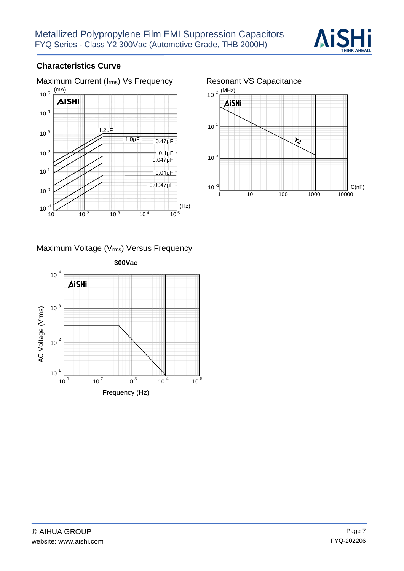

### **Characteristics Curve**





### Maximum Voltage (Vrms) Versus Frequency

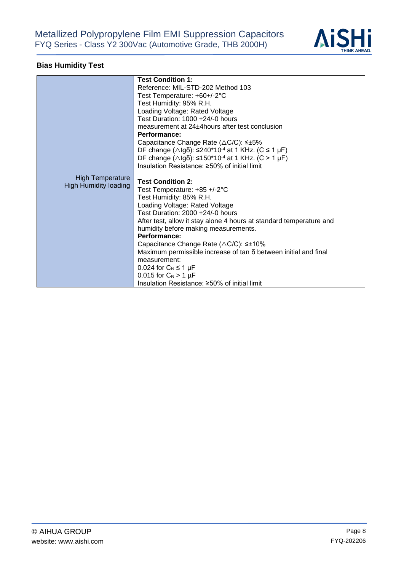

## **Bias Humidity Test**

|                         | <b>Test Condition 1:</b>                                                 |
|-------------------------|--------------------------------------------------------------------------|
|                         | Reference: MIL-STD-202 Method 103                                        |
|                         | Test Temperature: +60+/-2°C                                              |
|                         | Test Humidity: 95% R.H.                                                  |
|                         | Loading Voltage: Rated Voltage                                           |
|                         | Test Duration: 1000 +24/-0 hours                                         |
|                         | measurement at 24±4 hours after test conclusion                          |
|                         | Performance:                                                             |
|                         | Capacitance Change Rate ( $\triangle$ C/C): $\leq \pm 5\%$               |
|                         | DF change ( $\triangle$ tgδ): ≤240*10 <sup>-4</sup> at 1 KHz. (C ≤ 1 µF) |
|                         | DF change (Δtgδ): ≤150*10 <sup>-4</sup> at 1 KHz. (C > 1 μF)             |
|                         | Insulation Resistance: $\geq 50\%$ of initial limit                      |
| <b>High Temperature</b> |                                                                          |
| High Humidity loading   | <b>Test Condition 2:</b>                                                 |
|                         | Test Temperature: +85 +/-2°C                                             |
|                         | Test Humidity: 85% R.H.                                                  |
|                         | Loading Voltage: Rated Voltage                                           |
|                         | Test Duration: 2000 +24/-0 hours                                         |
|                         | After test, allow it stay alone 4 hours at standard temperature and      |
|                         | humidity before making measurements.<br>Performance:                     |
|                         |                                                                          |
|                         | Capacitance Change Rate (△C/C): ≤±10%                                    |
|                         | Maximum permissible increase of $tan \delta$ between initial and final   |
|                         | measurement:                                                             |
|                         | 0.024 for $C_N \leq 1 \mu F$                                             |
|                         | 0.015 for $C_N > 1 \mu F$                                                |
|                         | Insulation Resistance: $\geq 50\%$ of initial limit                      |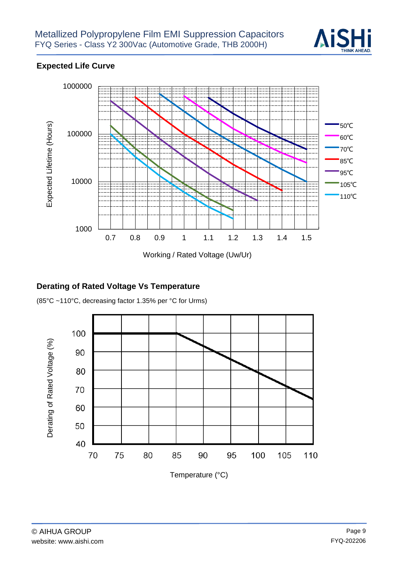

### **Expected Life Curve**



### **Derating of Rated Voltage Vs Temperature**

(85°C ~110°C, decreasing factor 1.35% per °C for Urms)

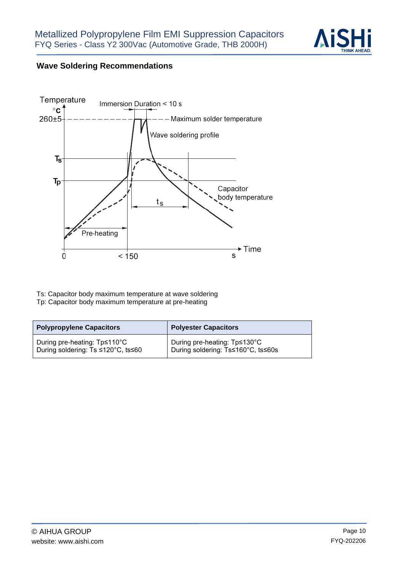

## **Wave Soldering Recommendations**



Ts: Capacitor body maximum temperature at wave soldering Tp: Capacitor body maximum temperature at pre-heating

| <b>Polypropylene Capacitors</b>    | <b>Polyester Capacitors</b>        |  |  |
|------------------------------------|------------------------------------|--|--|
| During pre-heating: Tp≤110°C       | During pre-heating: Tp≤130°C       |  |  |
| During soldering: Ts ≤120°C, ts≤60 | During soldering: Ts≤160°C, ts≤60s |  |  |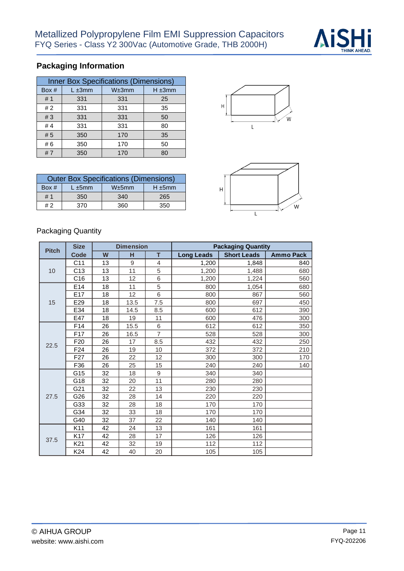

# **Packaging Information**

| <b>Inner Box Specifications (Dimensions)</b> |              |       |             |  |  |
|----------------------------------------------|--------------|-------|-------------|--|--|
| Box #                                        | $L \pm 3$ mm | W±3mm | $H \pm 3mm$ |  |  |
| #1                                           | 331          | 331   | 25          |  |  |
| #2                                           | 331          | 331   | 35          |  |  |
| #3                                           | 331          | 331   | 50          |  |  |
| #4                                           | 331          | 331   | 80          |  |  |
| # 5                                          | 350          | 170   | 35          |  |  |
| #6                                           | 350          | 170   | 50          |  |  |
| #7                                           | 350          | 170   | 80          |  |  |

| <b>Outer Box Specifications (Dimensions)</b> |              |       |              |  |  |  |
|----------------------------------------------|--------------|-------|--------------|--|--|--|
| Box $#$                                      | $L \pm 5$ mm | W±5mm | $H \pm 5$ mm |  |  |  |
| #1                                           | 350          | 340   | 265          |  |  |  |
| # 2                                          | 370          | 360   | 350          |  |  |  |





### Packaging Quantity

| <b>Pitch</b> | <b>Size</b>     | <b>Dimension</b> |      |                | <b>Packaging Quantity</b> |                    |                  |  |  |
|--------------|-----------------|------------------|------|----------------|---------------------------|--------------------|------------------|--|--|
|              | Code            | W                | H    | T              | <b>Long Leads</b>         | <b>Short Leads</b> | <b>Ammo Pack</b> |  |  |
| 10           | C <sub>11</sub> | 13               | 9    | 4              | 1,200                     | 1,848              | 840              |  |  |
|              | C13             | 13               | 11   | 5              | 1,200                     | 1,488              | 680              |  |  |
|              | C16             | 13               | 12   | 6              | 1,200                     | 1,224              | 560              |  |  |
| 15           | E14             | 18               | 11   | 5              | 800                       | 1,054              | 680              |  |  |
|              | E <sub>17</sub> | 18               | 12   | 6              | 800                       | 867                | 560              |  |  |
|              | E29             | 18               | 13.5 | 7.5            | 800                       | 697                | 450              |  |  |
|              | E34             | 18               | 14.5 | 8.5            | 600                       | 612                | 390              |  |  |
|              | E47             | 18               | 19   | 11             | 600                       | 476                | 300              |  |  |
| 22.5         | F <sub>14</sub> | 26               | 15.5 | 6              | 612                       | 612                | 350              |  |  |
|              | F <sub>17</sub> | 26               | 16.5 | $\overline{7}$ | 528                       | 528                | 300              |  |  |
|              | F <sub>20</sub> | 26               | 17   | 8.5            | 432                       | 432                | 250              |  |  |
|              | F <sub>24</sub> | 26               | 19   | 10             | 372                       | 372                | 210              |  |  |
|              | F <sub>27</sub> | 26               | 22   | 12             | 300                       | 300                | 170              |  |  |
|              | F36             | 26               | 25   | 15             | 240                       | 240                | 140              |  |  |
| 27.5         | G15             | 32               | 18   | $9\,$          | 340                       | 340                |                  |  |  |
|              | G18             | 32               | 20   | 11             | 280                       | 280                |                  |  |  |
|              | G21             | 32               | 22   | 13             | 230                       | 230                |                  |  |  |
|              | G26             | 32               | 28   | 14             | 220                       | 220                |                  |  |  |
|              | G33             | 32               | 28   | 18             | 170                       | 170                |                  |  |  |
|              | G34             | 32               | 33   | 18             | 170                       | 170                |                  |  |  |
|              | G40             | 32               | 37   | 22             | 140                       | 140                |                  |  |  |
| 37.5         | K11             | 42               | 24   | 13             | 161                       | 161                |                  |  |  |
|              | K17             | 42               | 28   | 17             | 126                       | 126                |                  |  |  |
|              | K21             | 42               | 32   | 19             | 112                       | 112                |                  |  |  |
|              | K24             | 42               | 40   | 20             | 105                       | 105                |                  |  |  |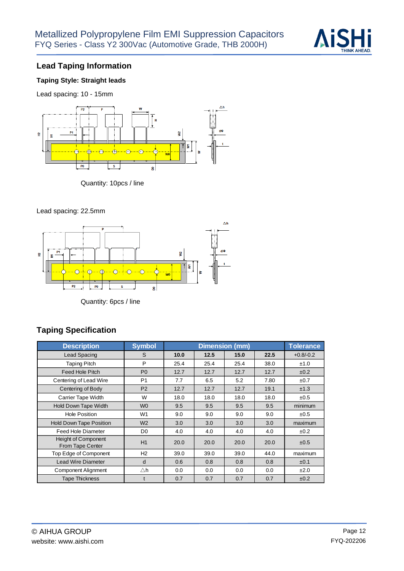

### **Lead Taping Information**

### **Taping Style: Straight leads**

Lead spacing: 10 - 15mm



Quantity: 10pcs / line

### Lead spacing: 22.5mm



Quantity: 6pcs / line

### **Taping Specification**

| <b>Description</b>                      | <b>Symbol</b>  |      | <b>Tolerance</b> |      |      |             |
|-----------------------------------------|----------------|------|------------------|------|------|-------------|
| Lead Spacing                            | S              | 10.0 | 12.5             | 15.0 | 22.5 | $+0.8/-0.2$ |
| <b>Taping Pitch</b>                     | P              | 25.4 | 25.4             | 25.4 | 38.0 | ±1.0        |
| Feed Hole Pitch                         | P <sub>0</sub> | 12.7 | 12.7             | 12.7 | 12.7 | ±0.2        |
| Centering of Lead Wire                  | P <sub>1</sub> | 7.7  | 6.5              | 5.2  | 7.80 | ±0.7        |
| Centering of Body                       | P <sub>2</sub> | 12.7 | 12.7             | 12.7 | 19.1 | ±1.3        |
| Carrier Tape Width                      | W              | 18.0 | 18.0             | 18.0 | 18.0 | ±0.5        |
| Hold Down Tape Width                    | W <sub>0</sub> | 9.5  | 9.5              | 9.5  | 9.5  | minimum     |
| <b>Hole Position</b>                    | W <sub>1</sub> | 9.0  | 9.0              | 9.0  | 9.0  | ±0.5        |
| <b>Hold Down Tape Position</b>          | W <sub>2</sub> | 3.0  | 3.0              | 3.0  | 3.0  | maximum     |
| Feed Hole Diameter                      | D <sub>0</sub> | 4.0  | 4.0              | 4.0  | 4.0  | ±0.2        |
| Height of Component<br>From Tape Center | H1             | 20.0 | 20.0             | 20.0 | 20.0 | ±0.5        |
| Top Edge of Component                   | H <sub>2</sub> | 39.0 | 39.0             | 39.0 | 44.0 | maximum     |
| <b>Lead Wire Diameter</b>               | d              | 0.6  | 0.8              | 0.8  | 0.8  | ±0.1        |
| Component Alignment                     | ∆h             | 0.0  | 0.0              | 0.0  | 0.0  | ±2.0        |
| <b>Tape Thickness</b>                   | t              | 0.7  | 0.7              | 0.7  | 0.7  | ±0.2        |